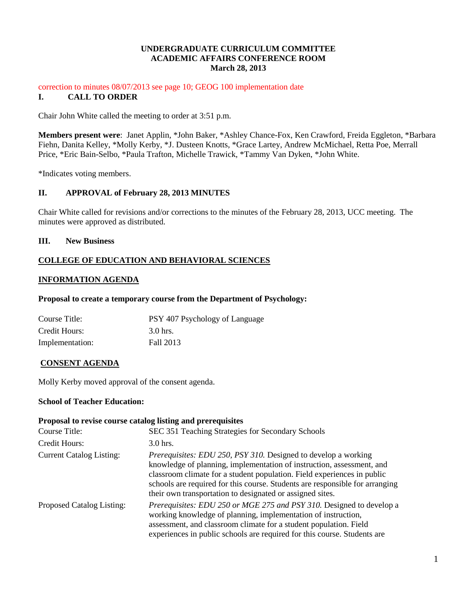### **UNDERGRADUATE CURRICULUM COMMITTEE ACADEMIC AFFAIRS CONFERENCE ROOM March 28, 2013**

#### correction to minutes 08/07/2013 see page 10; GEOG 100 implementation date **I. CALL TO ORDER**

Chair John White called the meeting to order at 3:51 p.m.

**Members present were**: Janet Applin, \*John Baker, \*Ashley Chance-Fox, Ken Crawford, Freida Eggleton, \*Barbara Fiehn, Danita Kelley, \*Molly Kerby, \*J. Dusteen Knotts, \*Grace Lartey, Andrew McMichael, Retta Poe, Merrall Price, \*Eric Bain-Selbo, \*Paula Trafton, Michelle Trawick, \*Tammy Van Dyken, \*John White.

\*Indicates voting members.

## **II. APPROVAL of February 28, 2013 MINUTES**

Chair White called for revisions and/or corrections to the minutes of the February 28, 2013, UCC meeting. The minutes were approved as distributed.

### **III. New Business**

## **COLLEGE OF EDUCATION AND BEHAVIORAL SCIENCES**

### **INFORMATION AGENDA**

#### **Proposal to create a temporary course from the Department of Psychology:**

| Course Title:   | PSY 407 Psychology of Language |
|-----------------|--------------------------------|
| Credit Hours:   | 3.0 hrs.                       |
| Implementation: | Fall 2013                      |

### **CONSENT AGENDA**

Molly Kerby moved approval of the consent agenda.

#### **School of Teacher Education:**

#### **Proposal to revise course catalog listing and prerequisites**

| Course Title:                   | SEC 351 Teaching Strategies for Secondary Schools                                                                                                                                                                                                                                                                                                                      |
|---------------------------------|------------------------------------------------------------------------------------------------------------------------------------------------------------------------------------------------------------------------------------------------------------------------------------------------------------------------------------------------------------------------|
| Credit Hours:                   | $3.0$ hrs.                                                                                                                                                                                                                                                                                                                                                             |
| <b>Current Catalog Listing:</b> | <i>Prerequisites: EDU 250, PSY 310. Designed to develop a working</i><br>knowledge of planning, implementation of instruction, assessment, and<br>classroom climate for a student population. Field experiences in public<br>schools are required for this course. Students are responsible for arranging<br>their own transportation to designated or assigned sites. |
| Proposed Catalog Listing:       | Prerequisites: EDU 250 or MGE 275 and PSY 310. Designed to develop a<br>working knowledge of planning, implementation of instruction,<br>assessment, and classroom climate for a student population. Field<br>experiences in public schools are required for this course. Students are                                                                                 |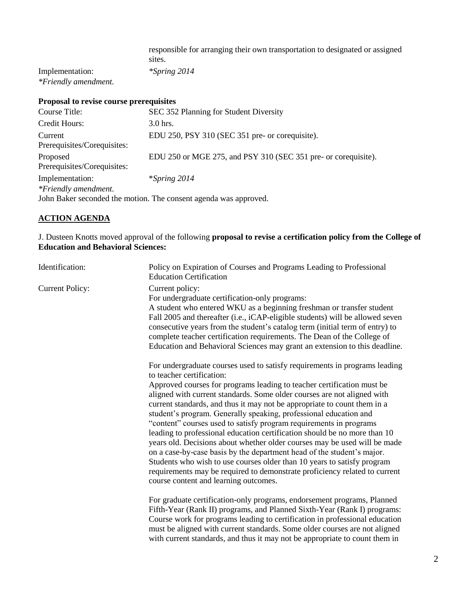responsible for arranging their own transportation to designated or assigned sites.

Implementation: *\*Spring 2014 \*Friendly amendment.*

## **Proposal to revise course prerequisites**

| Course Title:                                                    | SEC 352 Planning for Student Diversity                         |
|------------------------------------------------------------------|----------------------------------------------------------------|
| Credit Hours:                                                    | $3.0$ hrs.                                                     |
| Current<br>Prerequisites/Corequisites:                           | EDU 250, PSY 310 (SEC 351 pre- or corequisite).                |
| Proposed<br>Prerequisites/Corequisites:                          | EDU 250 or MGE 275, and PSY 310 (SEC 351 pre- or corequisite). |
| Implementation:<br>*Friendly amendment.                          | $*$ Spring 2014                                                |
| John Baker seconded the motion. The consent agenda was approved. |                                                                |

## **ACTION AGENDA**

J. Dusteen Knotts moved approval of the following **proposal to revise a certification policy from the College of Education and Behavioral Sciences:**

| Identification:        | Policy on Expiration of Courses and Programs Leading to Professional<br><b>Education Certification</b>                                                                                                                                                                                                                                                                                                                                                                                                                                                                                                                                                                                                                                                                                                                                                                                                                    |
|------------------------|---------------------------------------------------------------------------------------------------------------------------------------------------------------------------------------------------------------------------------------------------------------------------------------------------------------------------------------------------------------------------------------------------------------------------------------------------------------------------------------------------------------------------------------------------------------------------------------------------------------------------------------------------------------------------------------------------------------------------------------------------------------------------------------------------------------------------------------------------------------------------------------------------------------------------|
| <b>Current Policy:</b> | Current policy:<br>For undergraduate certification-only programs:<br>A student who entered WKU as a beginning freshman or transfer student<br>Fall 2005 and thereafter (i.e., iCAP-eligible students) will be allowed seven<br>consecutive years from the student's catalog term (initial term of entry) to<br>complete teacher certification requirements. The Dean of the College of<br>Education and Behavioral Sciences may grant an extension to this deadline.                                                                                                                                                                                                                                                                                                                                                                                                                                                      |
|                        | For undergraduate courses used to satisfy requirements in programs leading<br>to teacher certification:<br>Approved courses for programs leading to teacher certification must be<br>aligned with current standards. Some older courses are not aligned with<br>current standards, and thus it may not be appropriate to count them in a<br>student's program. Generally speaking, professional education and<br>"content" courses used to satisfy program requirements in programs<br>leading to professional education certification should be no more than 10<br>years old. Decisions about whether older courses may be used will be made<br>on a case-by-case basis by the department head of the student's major.<br>Students who wish to use courses older than 10 years to satisfy program<br>requirements may be required to demonstrate proficiency related to current<br>course content and learning outcomes. |
|                        | For graduate certification-only programs, endorsement programs, Planned<br>Fifth-Year (Rank II) programs, and Planned Sixth-Year (Rank I) programs:<br>Course work for programs leading to certification in professional education<br>must be aligned with current standards. Some older courses are not aligned<br>with current standards, and thus it may not be appropriate to count them in                                                                                                                                                                                                                                                                                                                                                                                                                                                                                                                           |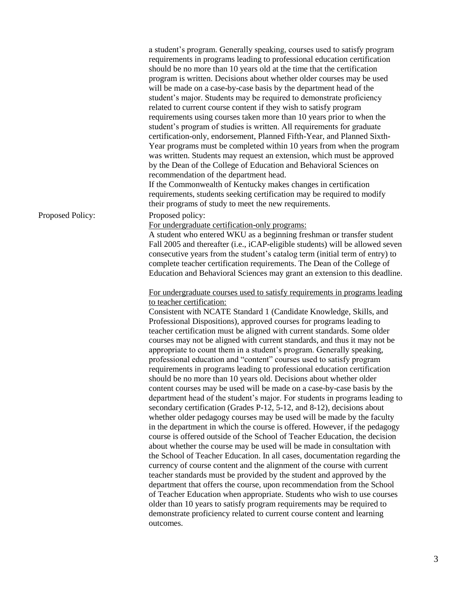|                  | a student's program. Generally speaking, courses used to satisfy program<br>requirements in programs leading to professional education certification<br>should be no more than 10 years old at the time that the certification<br>program is written. Decisions about whether older courses may be used<br>will be made on a case-by-case basis by the department head of the<br>student's major. Students may be required to demonstrate proficiency<br>related to current course content if they wish to satisfy program<br>requirements using courses taken more than 10 years prior to when the<br>student's program of studies is written. All requirements for graduate<br>certification-only, endorsement, Planned Fifth-Year, and Planned Sixth-<br>Year programs must be completed within 10 years from when the program<br>was written. Students may request an extension, which must be approved<br>by the Dean of the College of Education and Behavioral Sciences on<br>recommendation of the department head.<br>If the Commonwealth of Kentucky makes changes in certification<br>requirements, students seeking certification may be required to modify<br>their programs of study to meet the new requirements.                                                                                                                                                                                                                                                                                                                                                                                                                                                                                                                                                                                              |
|------------------|-------------------------------------------------------------------------------------------------------------------------------------------------------------------------------------------------------------------------------------------------------------------------------------------------------------------------------------------------------------------------------------------------------------------------------------------------------------------------------------------------------------------------------------------------------------------------------------------------------------------------------------------------------------------------------------------------------------------------------------------------------------------------------------------------------------------------------------------------------------------------------------------------------------------------------------------------------------------------------------------------------------------------------------------------------------------------------------------------------------------------------------------------------------------------------------------------------------------------------------------------------------------------------------------------------------------------------------------------------------------------------------------------------------------------------------------------------------------------------------------------------------------------------------------------------------------------------------------------------------------------------------------------------------------------------------------------------------------------------------------------------------------------------------------------------------------------------|
| Proposed Policy: | Proposed policy:                                                                                                                                                                                                                                                                                                                                                                                                                                                                                                                                                                                                                                                                                                                                                                                                                                                                                                                                                                                                                                                                                                                                                                                                                                                                                                                                                                                                                                                                                                                                                                                                                                                                                                                                                                                                              |
|                  | For undergraduate certification-only programs:<br>A student who entered WKU as a beginning freshman or transfer student<br>Fall 2005 and thereafter (i.e., iCAP-eligible students) will be allowed seven<br>consecutive years from the student's catalog term (initial term of entry) to<br>complete teacher certification requirements. The Dean of the College of<br>Education and Behavioral Sciences may grant an extension to this deadline.                                                                                                                                                                                                                                                                                                                                                                                                                                                                                                                                                                                                                                                                                                                                                                                                                                                                                                                                                                                                                                                                                                                                                                                                                                                                                                                                                                             |
|                  | For undergraduate courses used to satisfy requirements in programs leading<br>to teacher certification:<br>Consistent with NCATE Standard 1 (Candidate Knowledge, Skills, and<br>Professional Dispositions), approved courses for programs leading to<br>teacher certification must be aligned with current standards. Some older<br>courses may not be aligned with current standards, and thus it may not be<br>appropriate to count them in a student's program. Generally speaking,<br>professional education and "content" courses used to satisfy program<br>requirements in programs leading to professional education certification<br>should be no more than 10 years old. Decisions about whether older<br>content courses may be used will be made on a case-by-case basis by the<br>department head of the student's major. For students in programs leading to<br>secondary certification (Grades P-12, 5-12, and 8-12), decisions about<br>whether older pedagogy courses may be used will be made by the faculty<br>in the department in which the course is offered. However, if the pedagogy<br>course is offered outside of the School of Teacher Education, the decision<br>about whether the course may be used will be made in consultation with<br>the School of Teacher Education. In all cases, documentation regarding the<br>currency of course content and the alignment of the course with current<br>teacher standards must be provided by the student and approved by the<br>department that offers the course, upon recommendation from the School<br>of Teacher Education when appropriate. Students who wish to use courses<br>older than 10 years to satisfy program requirements may be required to<br>demonstrate proficiency related to current course content and learning<br>outcomes. |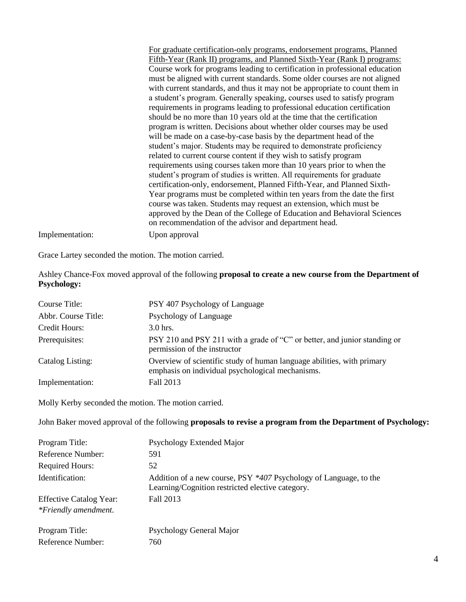For graduate certification-only programs, endorsement programs, Planned Fifth-Year (Rank II) programs, and Planned Sixth-Year (Rank I) programs: Course work for programs leading to certification in professional education must be aligned with current standards. Some older courses are not aligned with current standards, and thus it may not be appropriate to count them in a student's program. Generally speaking, courses used to satisfy program requirements in programs leading to professional education certification should be no more than 10 years old at the time that the certification program is written. Decisions about whether older courses may be used will be made on a case-by-case basis by the department head of the student's major. Students may be required to demonstrate proficiency related to current course content if they wish to satisfy program requirements using courses taken more than 10 years prior to when the student's program of studies is written. All requirements for graduate certification-only, endorsement, Planned Fifth-Year, and Planned Sixth-Year programs must be completed within ten years from the date the first course was taken. Students may request an extension, which must be approved by the Dean of the College of Education and Behavioral Sciences on recommendation of the advisor and department head. Implementation: Upon approval

Grace Lartey seconded the motion. The motion carried.

Ashley Chance-Fox moved approval of the following **proposal to create a new course from the Department of Psychology:**

| Course Title:       | PSY 407 Psychology of Language                                                                                             |
|---------------------|----------------------------------------------------------------------------------------------------------------------------|
| Abbr. Course Title: | Psychology of Language                                                                                                     |
| Credit Hours:       | $3.0$ hrs.                                                                                                                 |
| Prerequisites:      | PSY 210 and PSY 211 with a grade of "C" or better, and junior standing or<br>permission of the instructor                  |
| Catalog Listing:    | Overview of scientific study of human language abilities, with primary<br>emphasis on individual psychological mechanisms. |
| Implementation:     | Fall 2013                                                                                                                  |

Molly Kerby seconded the motion. The motion carried.

John Baker moved approval of the following **proposals to revise a program from the Department of Psychology:**

| Program Title:                 | Psychology Extended Major                                                                                             |
|--------------------------------|-----------------------------------------------------------------------------------------------------------------------|
| Reference Number:              | 591                                                                                                                   |
| <b>Required Hours:</b>         | 52                                                                                                                    |
| Identification:                | Addition of a new course, PSY *407 Psychology of Language, to the<br>Learning/Cognition restricted elective category. |
| <b>Effective Catalog Year:</b> | Fall 2013                                                                                                             |
| *Friendly amendment.           |                                                                                                                       |
| Program Title:                 | Psychology General Major                                                                                              |
| Reference Number:              | 760                                                                                                                   |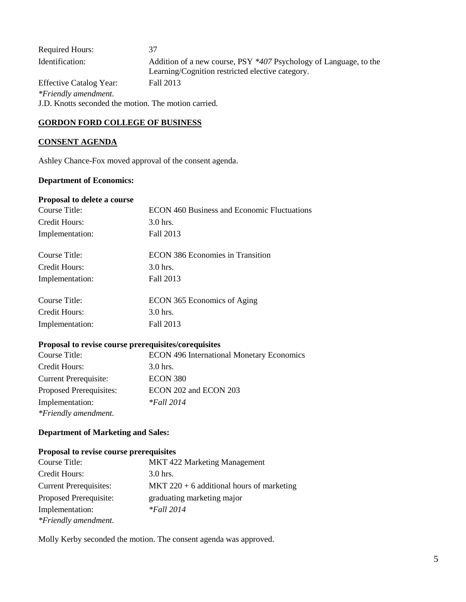| <b>Required Hours:</b>                               | 37                                                                                                                    |
|------------------------------------------------------|-----------------------------------------------------------------------------------------------------------------------|
| Identification:                                      | Addition of a new course, PSY *407 Psychology of Language, to the<br>Learning/Cognition restricted elective category. |
| <b>Effective Catalog Year:</b>                       | Fall 2013                                                                                                             |
| *Friendly amendment.                                 |                                                                                                                       |
| J.D. Knotts seconded the motion. The motion carried. |                                                                                                                       |

### **GORDON FORD COLLEGE OF BUSINESS**

## **CONSENT AGENDA**

Ashley Chance-Fox moved approval of the consent agenda.

## **Department of Economics:**

#### **Proposal to delete a course**

| Course Title:   | ECON 460 Business and Economic Fluctuations |
|-----------------|---------------------------------------------|
| Credit Hours:   | $3.0$ hrs.                                  |
| Implementation: | Fall 2013                                   |
| Course Title:   | ECON 386 Economies in Transition            |
| Credit Hours:   | $3.0$ hrs.                                  |
| Implementation: | Fall 2013                                   |
| Course Title:   | ECON 365 Economics of Aging                 |
| Credit Hours:   | $3.0$ hrs.                                  |
| Implementation: | Fall 2013                                   |
|                 |                                             |

# **Proposal to revise course prerequisites/corequisites**

| Course Title:                | <b>ECON 496 International Monetary Economics</b> |
|------------------------------|--------------------------------------------------|
| Credit Hours:                | 3.0 hrs.                                         |
| <b>Current Prerequisite:</b> | ECON 380                                         |
| Proposed Prerequisites:      | ECON 202 and ECON 203                            |
| Implementation:              | <i>*Fall</i> 2014                                |
| *Friendly amendment.         |                                                  |

## **Department of Marketing and Sales:**

## **Proposal to revise course prerequisites**

| Course Title:                 | <b>MKT</b> 422 Marketing Management         |
|-------------------------------|---------------------------------------------|
| Credit Hours:                 | $3.0$ hrs.                                  |
| <b>Current Prerequisites:</b> | MKT $220 + 6$ additional hours of marketing |
| Proposed Prerequisite:        | graduating marketing major                  |
| Implementation:               | $*$ Fall 2014                               |
| *Friendly amendment.          |                                             |

Molly Kerby seconded the motion. The consent agenda was approved.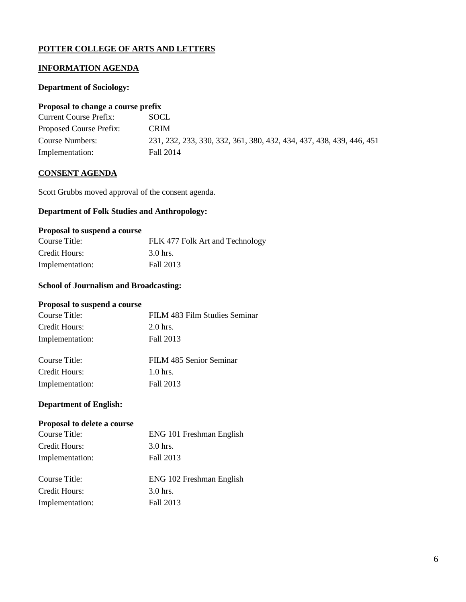## **POTTER COLLEGE OF ARTS AND LETTERS**

## **INFORMATION AGENDA**

### **Department of Sociology:**

### **Proposal to change a course prefix**

| <b>Current Course Prefix:</b> | SOCL.                                                                |
|-------------------------------|----------------------------------------------------------------------|
| Proposed Course Prefix:       | <b>CRIM</b>                                                          |
| Course Numbers:               | 231, 232, 233, 330, 332, 361, 380, 432, 434, 437, 438, 439, 446, 451 |
| Implementation:               | Fall 2014                                                            |

### **CONSENT AGENDA**

Scott Grubbs moved approval of the consent agenda.

## **Department of Folk Studies and Anthropology:**

#### **Proposal to suspend a course**

| Course Title:   | FLK 477 Folk Art and Technology |
|-----------------|---------------------------------|
| Credit Hours:   | 3.0 hrs.                        |
| Implementation: | Fall 2013                       |

# **School of Journalism and Broadcasting:**

#### **Proposal to suspend a course**

| Course Title:   | FILM 483 Film Studies Seminar |
|-----------------|-------------------------------|
| Credit Hours:   | $2.0$ hrs.                    |
| Implementation: | Fall 2013                     |
|                 |                               |

| Course Title:   | FILM 485 Senior Seminar |
|-----------------|-------------------------|
| Credit Hours:   | $1.0$ hrs.              |
| Implementation: | Fall 2013               |

### **Department of English:**

### **Proposal to delete a course**

| Course Title:   | ENG 101 Freshman English |
|-----------------|--------------------------|
| Credit Hours:   | 3.0 hrs.                 |
| Implementation: | Fall 2013                |
|                 |                          |
| Course Title:   | ENG 102 Freshman English |
| Credit Hours:   | 3.0 hrs.                 |
| Implementation: | Fall 2013                |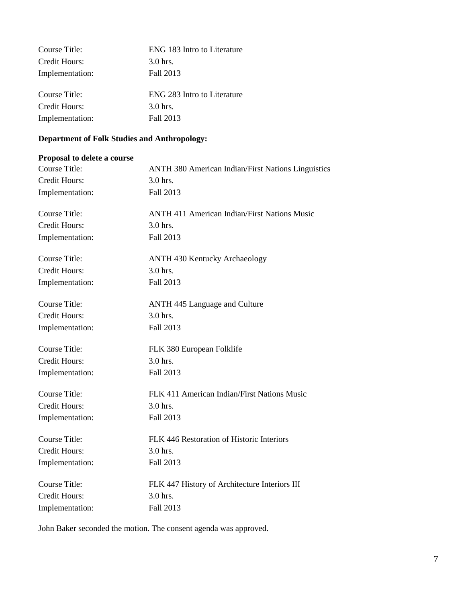| Course Title:   | ENG 183 Intro to Literature |
|-----------------|-----------------------------|
| Credit Hours:   | $3.0$ hrs.                  |
| Implementation: | Fall 2013                   |
|                 |                             |
| Course Title:   | ENG 283 Intro to Literature |
| Credit Hours:   | $3.0$ hrs.                  |
| Implementation: | Fall 2013                   |
|                 |                             |

# **Department of Folk Studies and Anthropology:**

## **Proposal to delete a course**

| <b>Course Title:</b> | <b>ANTH 380 American Indian/First Nations Linguistics</b> |
|----------------------|-----------------------------------------------------------|
| <b>Credit Hours:</b> | 3.0 hrs.                                                  |
| Implementation:      | Fall 2013                                                 |
| Course Title:        | <b>ANTH 411 American Indian/First Nations Music</b>       |
| <b>Credit Hours:</b> | 3.0 hrs.                                                  |
| Implementation:      | Fall 2013                                                 |
| <b>Course Title:</b> | <b>ANTH 430 Kentucky Archaeology</b>                      |
| <b>Credit Hours:</b> | 3.0 hrs.                                                  |
| Implementation:      | Fall 2013                                                 |
| <b>Course Title:</b> | <b>ANTH 445 Language and Culture</b>                      |
| <b>Credit Hours:</b> | $3.0$ hrs.                                                |
| Implementation:      | Fall 2013                                                 |
| <b>Course Title:</b> | FLK 380 European Folklife                                 |
| <b>Credit Hours:</b> | $3.0$ hrs.                                                |
| Implementation:      | Fall 2013                                                 |
| <b>Course Title:</b> | FLK 411 American Indian/First Nations Music               |
| Credit Hours:        | 3.0 hrs.                                                  |
| Implementation:      | Fall 2013                                                 |
| Course Title:        | FLK 446 Restoration of Historic Interiors                 |
| <b>Credit Hours:</b> | 3.0 hrs.                                                  |
| Implementation:      | Fall 2013                                                 |
| Course Title:        | FLK 447 History of Architecture Interiors III             |
| Credit Hours:        | 3.0 hrs.                                                  |
| Implementation:      | Fall 2013                                                 |

John Baker seconded the motion. The consent agenda was approved.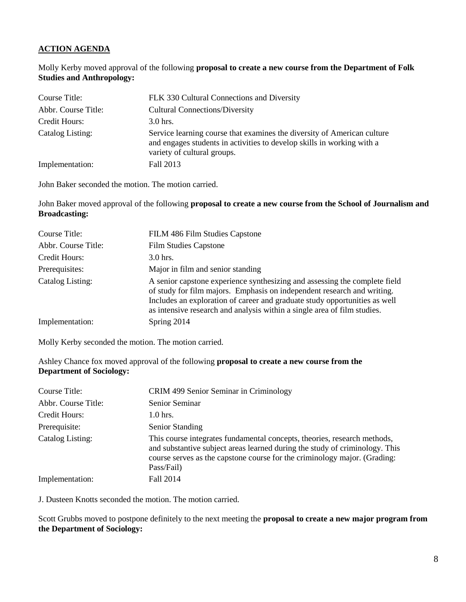## **ACTION AGENDA**

Molly Kerby moved approval of the following **proposal to create a new course from the Department of Folk Studies and Anthropology:**

| Course Title:       | FLK 330 Cultural Connections and Diversity                                                                                                                                       |
|---------------------|----------------------------------------------------------------------------------------------------------------------------------------------------------------------------------|
| Abbr. Course Title: | <b>Cultural Connections/Diversity</b>                                                                                                                                            |
| Credit Hours:       | $3.0$ hrs.                                                                                                                                                                       |
| Catalog Listing:    | Service learning course that examines the diversity of American culture<br>and engages students in activities to develop skills in working with a<br>variety of cultural groups. |
| Implementation:     | Fall 2013                                                                                                                                                                        |

John Baker seconded the motion. The motion carried.

John Baker moved approval of the following **proposal to create a new course from the School of Journalism and Broadcasting:**

| Course Title:       | FILM 486 Film Studies Capstone                                                                                                                                                                                                                                                                                  |
|---------------------|-----------------------------------------------------------------------------------------------------------------------------------------------------------------------------------------------------------------------------------------------------------------------------------------------------------------|
| Abbr. Course Title: | <b>Film Studies Capstone</b>                                                                                                                                                                                                                                                                                    |
| Credit Hours:       | $3.0$ hrs.                                                                                                                                                                                                                                                                                                      |
| Prerequisites:      | Major in film and senior standing                                                                                                                                                                                                                                                                               |
| Catalog Listing:    | A senior capstone experience synthesizing and assessing the complete field<br>of study for film majors. Emphasis on independent research and writing.<br>Includes an exploration of career and graduate study opportunities as well<br>as intensive research and analysis within a single area of film studies. |
| Implementation:     | Spring 2014                                                                                                                                                                                                                                                                                                     |

Molly Kerby seconded the motion. The motion carried.

Ashley Chance fox moved approval of the following **proposal to create a new course from the Department of Sociology:**

| Course Title:       | CRIM 499 Senior Seminar in Criminology                                                                                                                                                                                                             |
|---------------------|----------------------------------------------------------------------------------------------------------------------------------------------------------------------------------------------------------------------------------------------------|
| Abbr. Course Title: | Senior Seminar                                                                                                                                                                                                                                     |
| Credit Hours:       | $1.0$ hrs.                                                                                                                                                                                                                                         |
| Prerequisite:       | Senior Standing                                                                                                                                                                                                                                    |
| Catalog Listing:    | This course integrates fundamental concepts, theories, research methods,<br>and substantive subject areas learned during the study of criminology. This<br>course serves as the capstone course for the criminology major. (Grading:<br>Pass/Fail) |
| Implementation:     | Fall 2014                                                                                                                                                                                                                                          |

J. Dusteen Knotts seconded the motion. The motion carried.

Scott Grubbs moved to postpone definitely to the next meeting the **proposal to create a new major program from the Department of Sociology:**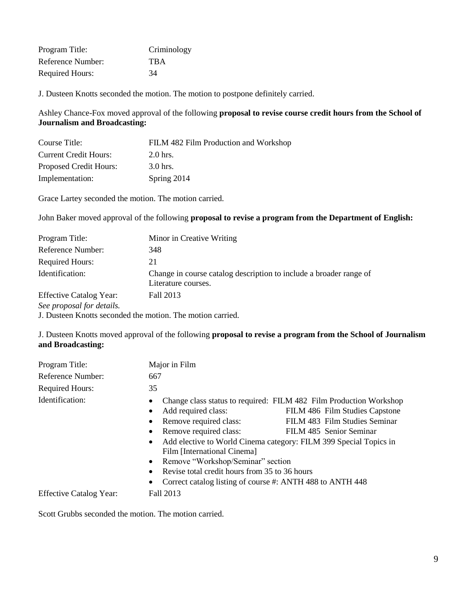| Program Title:         | Criminology |
|------------------------|-------------|
| Reference Number:      | <b>TBA</b>  |
| <b>Required Hours:</b> | 34          |

J. Dusteen Knotts seconded the motion. The motion to postpone definitely carried.

Ashley Chance-Fox moved approval of the following **proposal to revise course credit hours from the School of Journalism and Broadcasting:**

| Course Title:                | FILM 482 Film Production and Workshop |
|------------------------------|---------------------------------------|
| <b>Current Credit Hours:</b> | $2.0$ hrs.                            |
| Proposed Credit Hours:       | $3.0$ hrs.                            |
| Implementation:              | Spring 2014                           |

Grace Lartey seconded the motion. The motion carried.

John Baker moved approval of the following **proposal to revise a program from the Department of English:**

| Program Title:                 | Minor in Creative Writing                                                                 |
|--------------------------------|-------------------------------------------------------------------------------------------|
| Reference Number:              | 348                                                                                       |
| <b>Required Hours:</b>         | 21                                                                                        |
| Identification:                | Change in course catalog description to include a broader range of<br>Literature courses. |
| <b>Effective Catalog Year:</b> | Fall 2013                                                                                 |
| See proposal for details.      |                                                                                           |

J. Dusteen Knotts seconded the motion. The motion carried.

J. Dusteen Knotts moved approval of the following **proposal to revise a program from the School of Journalism and Broadcasting:**

| Program Title:                 | Major in Film                                                                                                                                                                                                                                                                                                                                                                                                                                      |
|--------------------------------|----------------------------------------------------------------------------------------------------------------------------------------------------------------------------------------------------------------------------------------------------------------------------------------------------------------------------------------------------------------------------------------------------------------------------------------------------|
| Reference Number:              | 667                                                                                                                                                                                                                                                                                                                                                                                                                                                |
| <b>Required Hours:</b>         | 35                                                                                                                                                                                                                                                                                                                                                                                                                                                 |
| Identification:                | Change class status to required: FILM 482 Film Production Workshop<br>Add required class:<br>FILM 486 Film Studies Capstone<br>Remove required class:<br>FILM 483 Film Studies Seminar<br>Remove required class:<br>FILM 485 Senior Seminar<br>Add elective to World Cinema category: FILM 399 Special Topics in<br>Film [International Cinema]<br>Remove "Workshop/Seminar" section<br>$\bullet$<br>Revise total credit hours from 35 to 36 hours |
| <b>Effective Catalog Year:</b> | Correct catalog listing of course #: ANTH 488 to ANTH 448<br>Fall 2013                                                                                                                                                                                                                                                                                                                                                                             |

Scott Grubbs seconded the motion. The motion carried.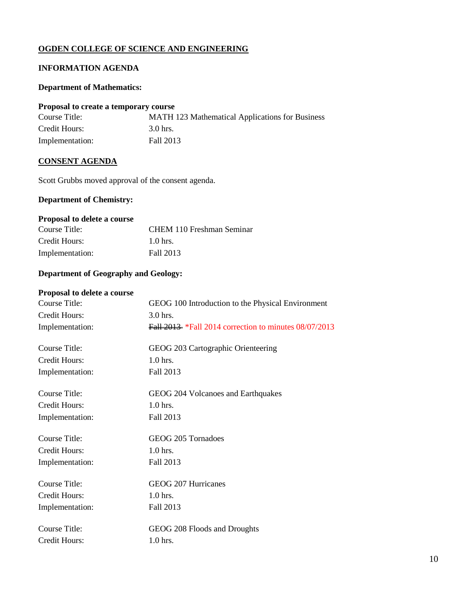## **OGDEN COLLEGE OF SCIENCE AND ENGINEERING**

# **INFORMATION AGENDA**

#### **Department of Mathematics:**

#### **Proposal to create a temporary course**

| Course Title:   | MATH 123 Mathematical Applications for Business |
|-----------------|-------------------------------------------------|
| Credit Hours:   | 3.0 hrs.                                        |
| Implementation: | Fall 2013                                       |

#### **CONSENT AGENDA**

Scott Grubbs moved approval of the consent agenda.

# **Department of Chemistry:**

# **Proposal to delete a course**

| Course Title:   | CHEM 110 Freshman Seminar |
|-----------------|---------------------------|
| Credit Hours:   | $1.0$ hrs.                |
| Implementation: | Fall 2013                 |

## **Department of Geography and Geology:**

## **Proposal to delete a course**

| Course Title:        | GEOG 100 Introduction to the Physical Environment            |
|----------------------|--------------------------------------------------------------|
| Credit Hours:        | 3.0 hrs.                                                     |
| Implementation:      | <b>Fall 2013</b> *Fall 2014 correction to minutes 08/07/2013 |
|                      |                                                              |
| Course Title:        | GEOG 203 Cartographic Orienteering                           |
| Credit Hours:        | $1.0$ hrs.                                                   |
| Implementation:      | Fall 2013                                                    |
|                      |                                                              |
| Course Title:        | GEOG 204 Volcanoes and Earthquakes                           |
| Credit Hours:        | 1.0 hrs.                                                     |
| Implementation:      | Fall 2013                                                    |
|                      |                                                              |
| Course Title:        | GEOG 205 Tornadoes                                           |
| <b>Credit Hours:</b> | $1.0$ hrs.                                                   |
| Implementation:      | Fall 2013                                                    |
| Course Title:        | GEOG 207 Hurricanes                                          |
| Credit Hours:        | 1.0 hrs.                                                     |
|                      |                                                              |
| Implementation:      | Fall 2013                                                    |
| Course Title:        | GEOG 208 Floods and Droughts                                 |
| Credit Hours:        | 1.0 hrs.                                                     |
|                      |                                                              |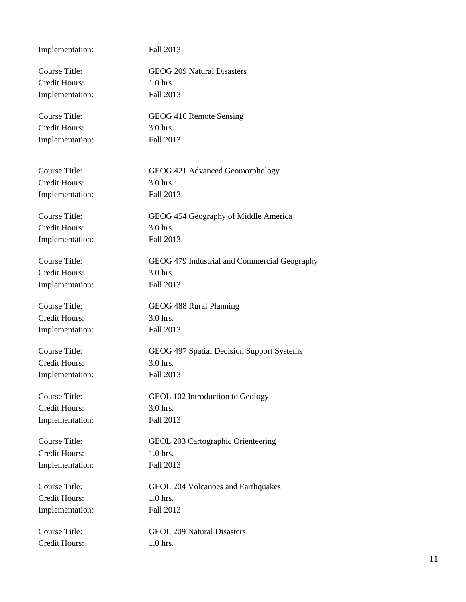| Implementation:      | Fall 2013                                    |
|----------------------|----------------------------------------------|
| Course Title:        | <b>GEOG 209 Natural Disasters</b>            |
| <b>Credit Hours:</b> | $1.0$ hrs.                                   |
| Implementation:      | Fall 2013                                    |
| Course Title:        | GEOG 416 Remote Sensing                      |
| <b>Credit Hours:</b> | 3.0 hrs.                                     |
| Implementation:      | Fall 2013                                    |
| Course Title:        | GEOG 421 Advanced Geomorphology              |
| <b>Credit Hours:</b> | 3.0 hrs.                                     |
| Implementation:      | Fall 2013                                    |
| Course Title:        | GEOG 454 Geography of Middle America         |
| <b>Credit Hours:</b> | 3.0 hrs.                                     |
| Implementation:      | Fall 2013                                    |
| Course Title:        | GEOG 479 Industrial and Commercial Geography |
| <b>Credit Hours:</b> | 3.0 hrs.                                     |
| Implementation:      | Fall 2013                                    |
| <b>Course Title:</b> | GEOG 488 Rural Planning                      |
| Credit Hours:        | 3.0 hrs.                                     |
| Implementation:      | Fall 2013                                    |
| <b>Course Title:</b> | GEOG 497 Spatial Decision Support Systems    |
| Credit Hours:        | 3.0 hrs.                                     |
| Implementation:      | Fall 2013                                    |
| Course Title:        | GEOL 102 Introduction to Geology             |
| <b>Credit Hours:</b> | 3.0 hrs.                                     |
| Implementation:      | Fall 2013                                    |
| <b>Course Title:</b> | GEOL 203 Cartographic Orienteering           |
| Credit Hours:        | $1.0$ hrs.                                   |
| Implementation:      | Fall 2013                                    |
| Course Title:        | GEOL 204 Volcanoes and Earthquakes           |
| Credit Hours:        | $1.0$ hrs.                                   |
| Implementation:      | Fall 2013                                    |
| <b>Course Title:</b> | <b>GEOL 209 Natural Disasters</b>            |
| Credit Hours:        | 1.0 hrs.                                     |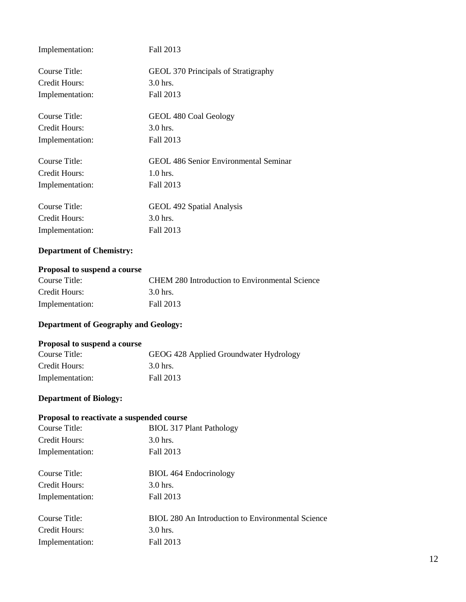| Implementation: | Fall 2013                                    |
|-----------------|----------------------------------------------|
| Course Title:   | GEOL 370 Principals of Stratigraphy          |
| Credit Hours:   | $3.0$ hrs.                                   |
| Implementation: | Fall 2013                                    |
| Course Title:   | GEOL 480 Coal Geology                        |
| Credit Hours:   | $3.0$ hrs.                                   |
| Implementation: | Fall 2013                                    |
| Course Title:   | <b>GEOL 486 Senior Environmental Seminar</b> |
| Credit Hours:   | $1.0$ hrs.                                   |
| Implementation: | Fall 2013                                    |
| Course Title:   | GEOL 492 Spatial Analysis                    |
| Credit Hours:   | $3.0$ hrs.                                   |
| Implementation: | Fall 2013                                    |

# **Department of Chemistry:**

## **Proposal to suspend a course**

| Course Title:   | CHEM 280 Introduction to Environmental Science |
|-----------------|------------------------------------------------|
| Credit Hours:   | 3.0 hrs.                                       |
| Implementation: | Fall 2013                                      |

# **Department of Geography and Geology:**

## **Proposal to suspend a course**

| Course Title:   | GEOG 428 Applied Groundwater Hydrology |
|-----------------|----------------------------------------|
| Credit Hours:   | 3.0 hrs.                               |
| Implementation: | Fall 2013                              |

# **Department of Biology:**

## **Proposal to reactivate a suspended course**

| Course Title:   | <b>BIOL 317 Plant Pathology</b>                   |
|-----------------|---------------------------------------------------|
| Credit Hours:   | $3.0$ hrs.                                        |
| Implementation: | Fall 2013                                         |
| Course Title:   | <b>BIOL</b> 464 Endocrinology                     |
| Credit Hours:   | $3.0$ hrs.                                        |
| Implementation: | Fall 2013                                         |
| Course Title:   | BIOL 280 An Introduction to Environmental Science |
| Credit Hours:   | $3.0$ hrs.                                        |
| Implementation: | Fall 2013                                         |
|                 |                                                   |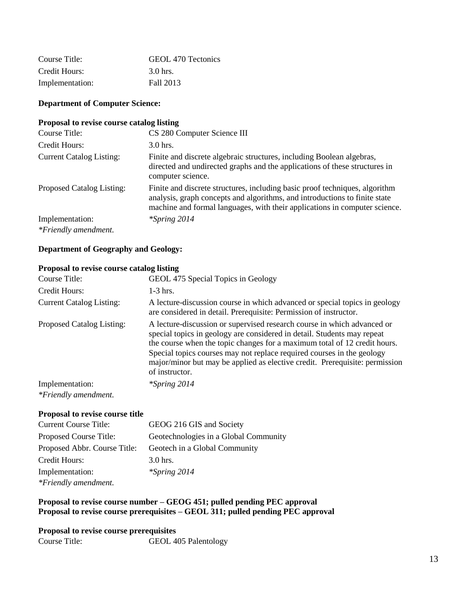| Course Title:   | GEOL 470 Tectonics |
|-----------------|--------------------|
| Credit Hours:   | 3.0 hrs.           |
| Implementation: | Fall 2013          |

### **Department of Computer Science:**

### **Proposal to revise course catalog listing**

| Course Title:                   | CS 280 Computer Science III                                                                                                                                                                                                             |
|---------------------------------|-----------------------------------------------------------------------------------------------------------------------------------------------------------------------------------------------------------------------------------------|
| Credit Hours:                   | $3.0$ hrs.                                                                                                                                                                                                                              |
| <b>Current Catalog Listing:</b> | Finite and discrete algebraic structures, including Boolean algebras,<br>directed and undirected graphs and the applications of these structures in<br>computer science.                                                                |
| Proposed Catalog Listing:       | Finite and discrete structures, including basic proof techniques, algorithm<br>analysis, graph concepts and algorithms, and introductions to finite state<br>machine and formal languages, with their applications in computer science. |
| Implementation:                 | $*$ Spring 2014                                                                                                                                                                                                                         |
| *Friendly amendment.            |                                                                                                                                                                                                                                         |

#### **Department of Geography and Geology:**

#### **Proposal to revise course catalog listing**

| Course Title:                   | GEOL 475 Special Topics in Geology                                                                                                                                                                                                                                                                                                                                                                         |
|---------------------------------|------------------------------------------------------------------------------------------------------------------------------------------------------------------------------------------------------------------------------------------------------------------------------------------------------------------------------------------------------------------------------------------------------------|
| Credit Hours:                   | $1-3$ hrs.                                                                                                                                                                                                                                                                                                                                                                                                 |
| <b>Current Catalog Listing:</b> | A lecture-discussion course in which advanced or special topics in geology<br>are considered in detail. Prerequisite: Permission of instructor.                                                                                                                                                                                                                                                            |
| Proposed Catalog Listing:       | A lecture-discussion or supervised research course in which advanced or<br>special topics in geology are considered in detail. Students may repeat<br>the course when the topic changes for a maximum total of 12 credit hours.<br>Special topics courses may not replace required courses in the geology<br>major/minor but may be applied as elective credit. Prerequisite: permission<br>of instructor. |
| Implementation:                 | $*$ Spring 2014                                                                                                                                                                                                                                                                                                                                                                                            |
| *Friendly amendment.            |                                                                                                                                                                                                                                                                                                                                                                                                            |

#### **Proposal to revise course title**

| <b>Current Course Title:</b> | GEOG 216 GIS and Society              |
|------------------------------|---------------------------------------|
| Proposed Course Title:       | Geotechnologies in a Global Community |
| Proposed Abbr. Course Title: | Geotech in a Global Community         |
| Credit Hours:                | $3.0$ hrs.                            |
| Implementation:              | $*$ Spring 2014                       |
| *Friendly amendment.         |                                       |

## **Proposal to revise course number – GEOG 451; pulled pending PEC approval Proposal to revise course prerequisites – GEOL 311; pulled pending PEC approval**

#### **Proposal to revise course prerequisites**

Course Title: GEOL 405 Palentology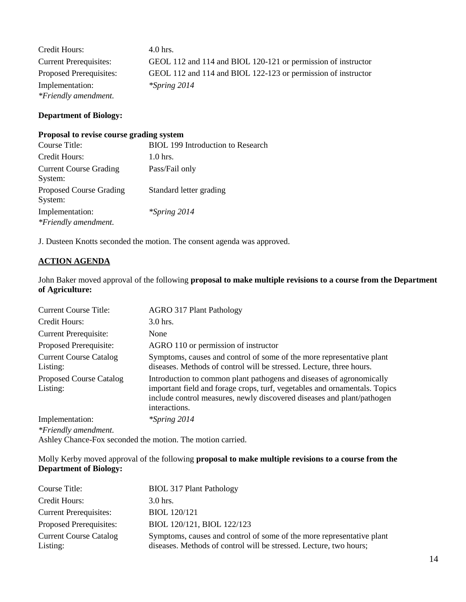| Credit Hours:                 | $4.0$ hrs.                                                    |
|-------------------------------|---------------------------------------------------------------|
| <b>Current Prerequisites:</b> | GEOL 112 and 114 and BIOL 120-121 or permission of instructor |
| Proposed Prerequisites:       | GEOL 112 and 114 and BIOL 122-123 or permission of instructor |
| Implementation:               | $*$ Spring 2014                                               |
| *Friendly amendment.          |                                                               |

## **Department of Biology:**

#### **Proposal to revise course grading system**

| Course Title:                             | <b>BIOL</b> 199 Introduction to Research |
|-------------------------------------------|------------------------------------------|
| Credit Hours:                             | $1.0$ hrs.                               |
| <b>Current Course Grading</b><br>System:  | Pass/Fail only                           |
| <b>Proposed Course Grading</b><br>System: | Standard letter grading                  |
| Implementation:<br>*Friendly amendment.   | <i>*Spring 2014</i>                      |

J. Dusteen Knotts seconded the motion. The consent agenda was approved.

## **ACTION AGENDA**

John Baker moved approval of the following **proposal to make multiple revisions to a course from the Department of Agriculture:**

| <b>Current Course Title:</b>               | <b>AGRO 317 Plant Pathology</b>                                                                                                                                                                                                               |
|--------------------------------------------|-----------------------------------------------------------------------------------------------------------------------------------------------------------------------------------------------------------------------------------------------|
| Credit Hours:                              | $3.0$ hrs.                                                                                                                                                                                                                                    |
| <b>Current Prerequisite:</b>               | None                                                                                                                                                                                                                                          |
| Proposed Prerequisite:                     | AGRO 110 or permission of instructor                                                                                                                                                                                                          |
| <b>Current Course Catalog</b><br>Listing:  | Symptoms, causes and control of some of the more representative plant<br>diseases. Methods of control will be stressed. Lecture, three hours.                                                                                                 |
| <b>Proposed Course Catalog</b><br>Listing: | Introduction to common plant pathogens and diseases of agronomically<br>important field and forage crops, turf, vegetables and ornamentals. Topics<br>include control measures, newly discovered diseases and plant/pathogen<br>interactions. |
| Implementation:<br>*Friendly amendment.    | $*$ Spring 2014                                                                                                                                                                                                                               |

Ashley Chance-Fox seconded the motion. The motion carried.

## Molly Kerby moved approval of the following **proposal to make multiple revisions to a course from the Department of Biology:**

| Course Title:                             | <b>BIOL 317 Plant Pathology</b>                                                                                                             |
|-------------------------------------------|---------------------------------------------------------------------------------------------------------------------------------------------|
| Credit Hours:                             | $3.0$ hrs.                                                                                                                                  |
| <b>Current Prerequisites:</b>             | <b>BIOL</b> 120/121                                                                                                                         |
| Proposed Prerequisites:                   | BIOL 120/121, BIOL 122/123                                                                                                                  |
| <b>Current Course Catalog</b><br>Listing: | Symptoms, causes and control of some of the more representative plant<br>diseases. Methods of control will be stressed. Lecture, two hours; |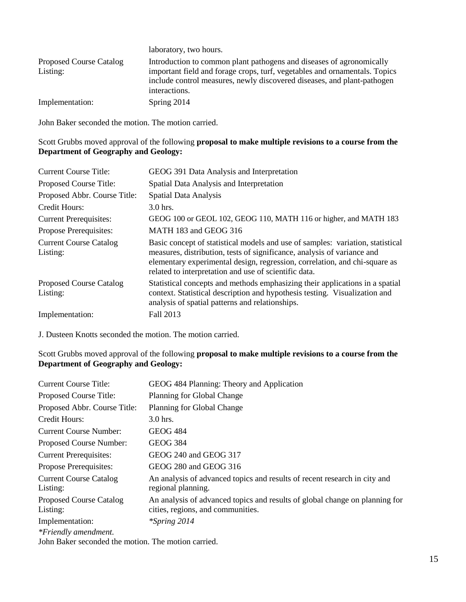|                                | laboratory, two hours.                                                     |
|--------------------------------|----------------------------------------------------------------------------|
| <b>Proposed Course Catalog</b> | Introduction to common plant pathogens and diseases of agronomically       |
| Listing:                       | important field and forage crops, turf, vegetables and ornamentals. Topics |
|                                | include control measures, newly discovered diseases, and plant-pathogen    |
|                                | interactions.                                                              |
| Implementation:                | Spring 2014                                                                |

John Baker seconded the motion. The motion carried.

### Scott Grubbs moved approval of the following **proposal to make multiple revisions to a course from the Department of Geography and Geology:**

| <b>Current Course Title:</b>               | GEOG 391 Data Analysis and Interpretation                                                                                                                                                                                                                                                        |
|--------------------------------------------|--------------------------------------------------------------------------------------------------------------------------------------------------------------------------------------------------------------------------------------------------------------------------------------------------|
| Proposed Course Title:                     | Spatial Data Analysis and Interpretation                                                                                                                                                                                                                                                         |
| Proposed Abbr. Course Title:               | <b>Spatial Data Analysis</b>                                                                                                                                                                                                                                                                     |
| Credit Hours:                              | 3.0 hrs.                                                                                                                                                                                                                                                                                         |
| <b>Current Prerequisites:</b>              | GEOG 100 or GEOL 102, GEOG 110, MATH 116 or higher, and MATH 183                                                                                                                                                                                                                                 |
| Propose Prerequisites:                     | MATH 183 and GEOG 316                                                                                                                                                                                                                                                                            |
| <b>Current Course Catalog</b><br>Listing:  | Basic concept of statistical models and use of samples: variation, statistical<br>measures, distribution, tests of significance, analysis of variance and<br>elementary experimental design, regression, correlation, and chi-square as<br>related to interpretation and use of scientific data. |
| <b>Proposed Course Catalog</b><br>Listing: | Statistical concepts and methods emphasizing their applications in a spatial<br>context. Statistical description and hypothesis testing. Visualization and<br>analysis of spatial patterns and relationships.                                                                                    |
| Implementation:                            | Fall 2013                                                                                                                                                                                                                                                                                        |

J. Dusteen Knotts seconded the motion. The motion carried.

## Scott Grubbs moved approval of the following **proposal to make multiple revisions to a course from the Department of Geography and Geology:**

| <b>Current Course Title:</b>                                                                   | GEOG 484 Planning: Theory and Application                                                                        |
|------------------------------------------------------------------------------------------------|------------------------------------------------------------------------------------------------------------------|
| Proposed Course Title:                                                                         | Planning for Global Change                                                                                       |
| Proposed Abbr. Course Title:                                                                   | Planning for Global Change                                                                                       |
| Credit Hours:                                                                                  | $3.0$ hrs.                                                                                                       |
| <b>Current Course Number:</b>                                                                  | <b>GEOG 484</b>                                                                                                  |
| Proposed Course Number:                                                                        | <b>GEOG 384</b>                                                                                                  |
| <b>Current Prerequisites:</b>                                                                  | GEOG 240 and GEOG 317                                                                                            |
| Propose Prerequisites:                                                                         | GEOG 280 and GEOG 316                                                                                            |
| <b>Current Course Catalog</b><br>Listing:                                                      | An analysis of advanced topics and results of recent research in city and<br>regional planning.                  |
| <b>Proposed Course Catalog</b><br>Listing:                                                     | An analysis of advanced topics and results of global change on planning for<br>cities, regions, and communities. |
| Implementation:<br>*Friendly amendment.<br>John Balzar seconded the motion. The motion carried | $*$ Spring 2014                                                                                                  |

John Baker seconded the motion. The motion carried.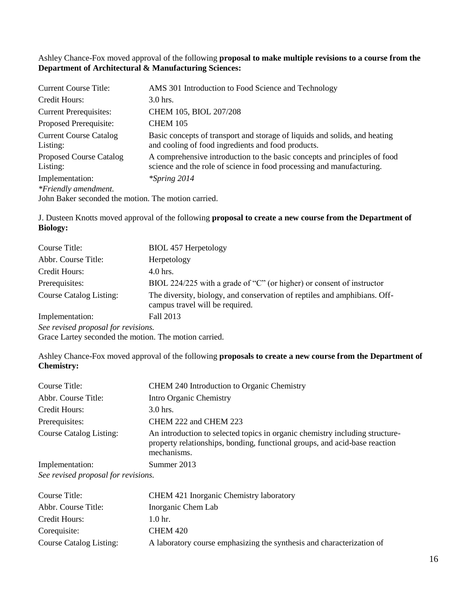## Ashley Chance-Fox moved approval of the following **proposal to make multiple revisions to a course from the Department of Architectural & Manufacturing Sciences:**

| <b>Current Course Title:</b>                        | AMS 301 Introduction to Food Science and Technology                                                                                                |
|-----------------------------------------------------|----------------------------------------------------------------------------------------------------------------------------------------------------|
| Credit Hours:                                       | $3.0$ hrs.                                                                                                                                         |
| <b>Current Prerequisites:</b>                       | CHEM 105, BIOL 207/208                                                                                                                             |
| Proposed Prerequisite:                              | <b>CHEM 105</b>                                                                                                                                    |
| <b>Current Course Catalog</b><br>Listing:           | Basic concepts of transport and storage of liquids and solids, and heating<br>and cooling of food ingredients and food products.                   |
| <b>Proposed Course Catalog</b><br>Listing:          | A comprehensive introduction to the basic concepts and principles of food<br>science and the role of science in food processing and manufacturing. |
| Implementation:                                     | $*$ Spring 2014                                                                                                                                    |
| *Friendly amendment.                                |                                                                                                                                                    |
| John Baker seconded the motion. The motion carried. |                                                                                                                                                    |

J. Dusteen Knotts moved approval of the following **proposal to create a new course from the Department of Biology:**

| Course Title:                       | <b>BIOL 457 Herpetology</b>                                                                                  |
|-------------------------------------|--------------------------------------------------------------------------------------------------------------|
| Abbr. Course Title:                 | Herpetology                                                                                                  |
| Credit Hours:                       | 4.0 hrs.                                                                                                     |
| Prerequisites:                      | BIOL 224/225 with a grade of "C" (or higher) or consent of instructor                                        |
| <b>Course Catalog Listing:</b>      | The diversity, biology, and conservation of reptiles and amphibians. Off-<br>campus travel will be required. |
| Implementation:                     | Fall 2013                                                                                                    |
| See revised proposal for revisions. |                                                                                                              |

Grace Lartey seconded the motion. The motion carried.

Ashley Chance-Fox moved approval of the following **proposals to create a new course from the Department of Chemistry:**

| Course Title:                       | CHEM 240 Introduction to Organic Chemistry                                                                                                                                |
|-------------------------------------|---------------------------------------------------------------------------------------------------------------------------------------------------------------------------|
| Abbr. Course Title:                 | Intro Organic Chemistry                                                                                                                                                   |
| Credit Hours:                       | $3.0$ hrs.                                                                                                                                                                |
| Prerequisites:                      | CHEM 222 and CHEM 223                                                                                                                                                     |
| <b>Course Catalog Listing:</b>      | An introduction to selected topics in organic chemistry including structure-<br>property relationships, bonding, functional groups, and acid-base reaction<br>mechanisms. |
| Implementation:                     | Summer 2013                                                                                                                                                               |
| See revised proposal for revisions. |                                                                                                                                                                           |

| Course Title:           | CHEM 421 Inorganic Chemistry laboratory                               |
|-------------------------|-----------------------------------------------------------------------|
| Abbr. Course Title:     | Inorganic Chem Lab                                                    |
| Credit Hours:           | 1.0 <sub>hr.</sub>                                                    |
| Corequisite:            | CHEM 420                                                              |
| Course Catalog Listing: | A laboratory course emphasizing the synthesis and characterization of |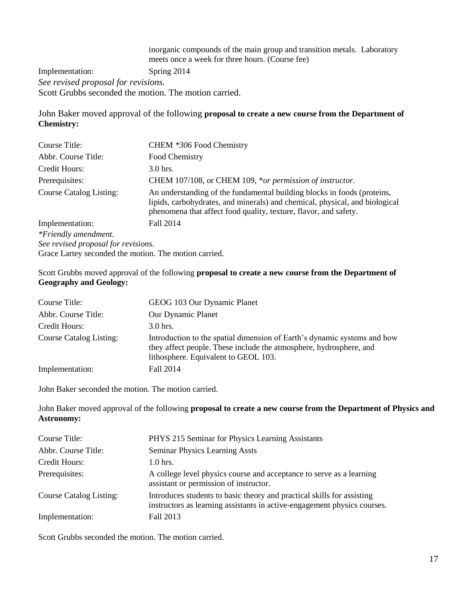inorganic compounds of the main group and transition metals. Laboratory meets once a week for three hours. (Course fee) Implementation: Spring 2014 *See revised proposal for revisions.* Scott Grubbs seconded the motion. The motion carried.

John Baker moved approval of the following **proposal to create a new course from the Department of Chemistry:**

| Course Title:                                         | CHEM *306 Food Chemistry                                                                                                                                                                                                   |
|-------------------------------------------------------|----------------------------------------------------------------------------------------------------------------------------------------------------------------------------------------------------------------------------|
| Abbr. Course Title:                                   | Food Chemistry                                                                                                                                                                                                             |
| Credit Hours:                                         | $3.0$ hrs.                                                                                                                                                                                                                 |
| Prerequisites:                                        | CHEM 107/108, or CHEM 109, *or permission of instructor.                                                                                                                                                                   |
| <b>Course Catalog Listing:</b>                        | An understanding of the fundamental building blocks in foods (proteins,<br>lipids, carbohydrates, and minerals) and chemical, physical, and biological<br>phenomena that affect food quality, texture, flavor, and safety. |
| Implementation:                                       | Fall 2014                                                                                                                                                                                                                  |
| *Friendly amendment.                                  |                                                                                                                                                                                                                            |
| See revised proposal for revisions.                   |                                                                                                                                                                                                                            |
| Grace Lartey seconded the motion. The motion carried. |                                                                                                                                                                                                                            |

Scott Grubbs moved approval of the following **proposal to create a new course from the Department of Geography and Geology:**

| Course Title:                  | GEOG 103 Our Dynamic Planet                                                                                                                                                            |
|--------------------------------|----------------------------------------------------------------------------------------------------------------------------------------------------------------------------------------|
| Abbr. Course Title:            | Our Dynamic Planet                                                                                                                                                                     |
| Credit Hours:                  | $3.0$ hrs.                                                                                                                                                                             |
| <b>Course Catalog Listing:</b> | Introduction to the spatial dimension of Earth's dynamic systems and how<br>they affect people. These include the atmosphere, hydrosphere, and<br>lithosphere. Equivalent to GEOL 103. |
| Implementation:                | Fall 2014                                                                                                                                                                              |

John Baker seconded the motion. The motion carried.

John Baker moved approval of the following **proposal to create a new course from the Department of Physics and Astronomy:**

| Course Title:                  | PHYS 215 Seminar for Physics Learning Assistants                                                                                                   |
|--------------------------------|----------------------------------------------------------------------------------------------------------------------------------------------------|
| Abbr. Course Title:            | <b>Seminar Physics Learning Assts</b>                                                                                                              |
| Credit Hours:                  | $1.0$ hrs.                                                                                                                                         |
| Prerequisites:                 | A college level physics course and acceptance to serve as a learning<br>assistant or permission of instructor.                                     |
| <b>Course Catalog Listing:</b> | Introduces students to basic theory and practical skills for assisting<br>instructors as learning assistants in active-engagement physics courses. |
| Implementation:                | Fall 2013                                                                                                                                          |

Scott Grubbs seconded the motion. The motion carried.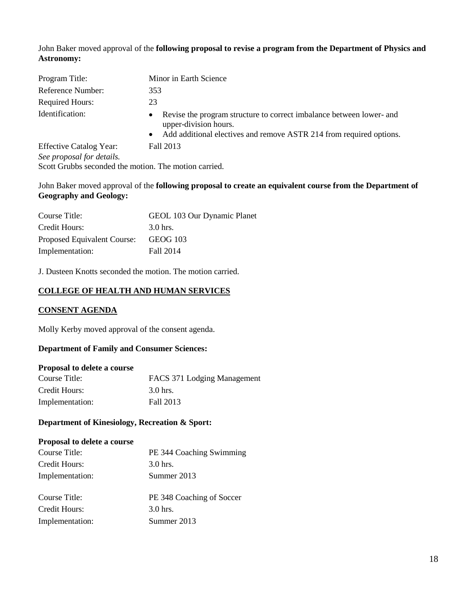John Baker moved approval of the **following proposal to revise a program from the Department of Physics and Astronomy:**

| Program Title:                                              | Minor in Earth Science                                                                                                                                                                         |
|-------------------------------------------------------------|------------------------------------------------------------------------------------------------------------------------------------------------------------------------------------------------|
| Reference Number:                                           | 353                                                                                                                                                                                            |
| <b>Required Hours:</b>                                      | 23                                                                                                                                                                                             |
| Identification:                                             | Revise the program structure to correct imbalance between lower- and<br>$\bullet$<br>upper-division hours.<br>Add additional electives and remove ASTR 214 from required options.<br>$\bullet$ |
| <b>Effective Catalog Year:</b><br>See proposal for details. | Fall 2013                                                                                                                                                                                      |

Scott Grubbs seconded the motion. The motion carried.

## John Baker moved approval of the **following proposal to create an equivalent course from the Department of Geography and Geology:**

| Course Title:               | GEOL 103 Our Dynamic Planet |
|-----------------------------|-----------------------------|
| Credit Hours:               | 3.0 hrs.                    |
| Proposed Equivalent Course: | GEOG 103                    |
| Implementation:             | Fall 2014                   |

J. Dusteen Knotts seconded the motion. The motion carried.

## **COLLEGE OF HEALTH AND HUMAN SERVICES**

## **CONSENT AGENDA**

Molly Kerby moved approval of the consent agenda.

## **Department of Family and Consumer Sciences:**

### **Proposal to delete a course**

| Course Title:   | FACS 371 Lodging Management |
|-----------------|-----------------------------|
| Credit Hours:   | 3.0 hrs.                    |
| Implementation: | Fall 2013                   |

## **Department of Kinesiology, Recreation & Sport:**

#### **Proposal to delete a course**

| Course Title:   | PE 344 Coaching Swimming  |
|-----------------|---------------------------|
| Credit Hours:   | $3.0$ hrs.                |
| Implementation: | Summer 2013               |
| Course Title:   | PE 348 Coaching of Soccer |
| Credit Hours:   | 3.0 hrs.                  |
| Implementation: | Summer 2013               |
|                 |                           |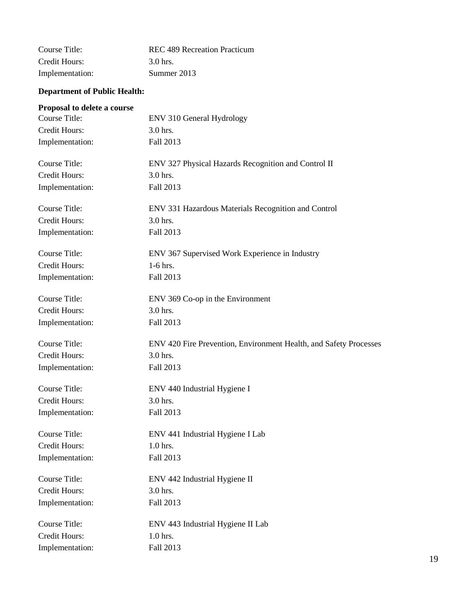| Course Title:   | REC 489 Recreation Practicum |
|-----------------|------------------------------|
| Credit Hours:   | 3.0 hrs.                     |
| Implementation: | Summer 2013                  |

# **Department of Public Health:**

# **Proposal to delete a course**

| Course Title:        | ENV 310 General Hydrology                                         |
|----------------------|-------------------------------------------------------------------|
| <b>Credit Hours:</b> | 3.0 hrs.                                                          |
| Implementation:      | Fall 2013                                                         |
| Course Title:        | ENV 327 Physical Hazards Recognition and Control II               |
| Credit Hours:        | 3.0 hrs.                                                          |
| Implementation:      | Fall 2013                                                         |
| <b>Course Title:</b> | ENV 331 Hazardous Materials Recognition and Control               |
| Credit Hours:        | 3.0 hrs.                                                          |
| Implementation:      | Fall 2013                                                         |
| Course Title:        | ENV 367 Supervised Work Experience in Industry                    |
| Credit Hours:        | $1-6$ hrs.                                                        |
| Implementation:      | Fall 2013                                                         |
| Course Title:        | ENV 369 Co-op in the Environment                                  |
| <b>Credit Hours:</b> | 3.0 hrs.                                                          |
| Implementation:      | Fall 2013                                                         |
| <b>Course Title:</b> | ENV 420 Fire Prevention, Environment Health, and Safety Processes |
| <b>Credit Hours:</b> | 3.0 hrs.                                                          |
| Implementation:      | Fall 2013                                                         |
| <b>Course Title:</b> | ENV 440 Industrial Hygiene I                                      |
| <b>Credit Hours:</b> | 3.0 hrs.                                                          |
| Implementation:      | Fall 2013                                                         |
| Course Title:        | ENV 441 Industrial Hygiene I Lab                                  |
| Credit Hours:        | 1.0 hrs.                                                          |
| Implementation:      | Fall 2013                                                         |
| <b>Course Title:</b> | ENV 442 Industrial Hygiene II                                     |
| <b>Credit Hours:</b> | 3.0 hrs.                                                          |
| Implementation:      | Fall 2013                                                         |
| <b>Course Title:</b> | ENV 443 Industrial Hygiene II Lab                                 |
| <b>Credit Hours:</b> | 1.0 hrs.                                                          |
| Implementation:      | Fall 2013                                                         |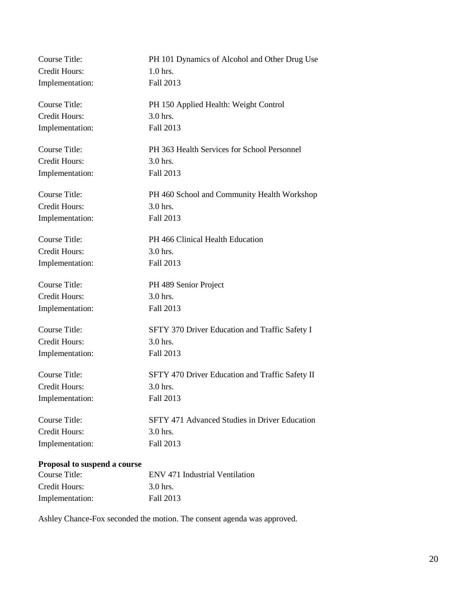| Course Title:                | PH 101 Dynamics of Alcohol and Other Drug Use        |
|------------------------------|------------------------------------------------------|
| Credit Hours:                | $1.0$ hrs.                                           |
| Implementation:              | Fall 2013                                            |
| Course Title:                | PH 150 Applied Health: Weight Control                |
| Credit Hours:                | 3.0 hrs.                                             |
| Implementation:              | Fall 2013                                            |
| <b>Course Title:</b>         | PH 363 Health Services for School Personnel          |
| <b>Credit Hours:</b>         | 3.0 hrs.                                             |
| Implementation:              | Fall 2013                                            |
| Course Title:                | PH 460 School and Community Health Workshop          |
| <b>Credit Hours:</b>         | 3.0 hrs.                                             |
| Implementation:              | Fall 2013                                            |
| Course Title:                | PH 466 Clinical Health Education                     |
| Credit Hours:                | 3.0 hrs.                                             |
| Implementation:              | Fall 2013                                            |
| <b>Course Title:</b>         | PH 489 Senior Project                                |
| Credit Hours:                | 3.0 hrs.                                             |
| Implementation:              | Fall 2013                                            |
| <b>Course Title:</b>         | SFTY 370 Driver Education and Traffic Safety I       |
| <b>Credit Hours:</b>         | $3.0$ hrs.                                           |
| Implementation:              | Fall 2013                                            |
| <b>Course Title:</b>         | SFTY 470 Driver Education and Traffic Safety II      |
| Credit Hours:                | 3.0 hrs.                                             |
| Implementation:              | Fall 2013                                            |
| <b>Course Title:</b>         | <b>SFTY 471 Advanced Studies in Driver Education</b> |
| <b>Credit Hours:</b>         | 3.0 hrs.                                             |
| Implementation:              | Fall 2013                                            |
| Proposal to suspend a course |                                                      |

| Course Title:   | ENV 471 Industrial Ventilation |
|-----------------|--------------------------------|
| Credit Hours:   | 3.0 hrs.                       |
| Implementation: | Fall 2013                      |

Ashley Chance-Fox seconded the motion. The consent agenda was approved.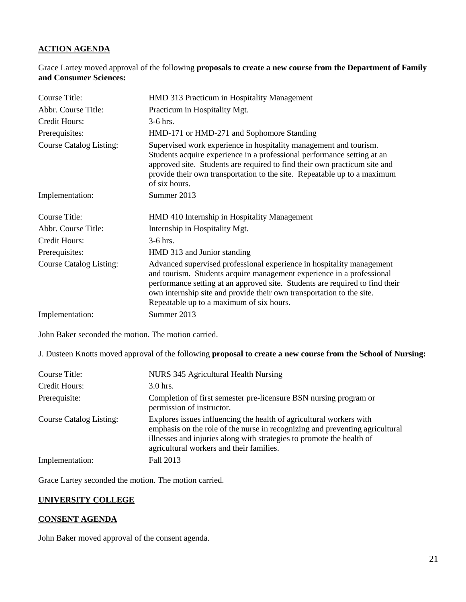## **ACTION AGENDA**

Grace Lartey moved approval of the following **proposals to create a new course from the Department of Family and Consumer Sciences:**

| Course Title:                  | HMD 313 Practicum in Hospitality Management                                                                                                                                                                                                                                                                                                         |
|--------------------------------|-----------------------------------------------------------------------------------------------------------------------------------------------------------------------------------------------------------------------------------------------------------------------------------------------------------------------------------------------------|
| Abbr. Course Title:            | Practicum in Hospitality Mgt.                                                                                                                                                                                                                                                                                                                       |
| Credit Hours:                  | $3-6$ hrs.                                                                                                                                                                                                                                                                                                                                          |
| Prerequisites:                 | HMD-171 or HMD-271 and Sophomore Standing                                                                                                                                                                                                                                                                                                           |
| <b>Course Catalog Listing:</b> | Supervised work experience in hospitality management and tourism.<br>Students acquire experience in a professional performance setting at an<br>approved site. Students are required to find their own practicum site and<br>provide their own transportation to the site. Repeatable up to a maximum<br>of six hours.                              |
| Implementation:                | Summer 2013                                                                                                                                                                                                                                                                                                                                         |
| Course Title:                  | HMD 410 Internship in Hospitality Management                                                                                                                                                                                                                                                                                                        |
| Abbr. Course Title:            | Internship in Hospitality Mgt.                                                                                                                                                                                                                                                                                                                      |
| Credit Hours:                  | $3-6$ hrs.                                                                                                                                                                                                                                                                                                                                          |
| Prerequisites:                 | HMD 313 and Junior standing                                                                                                                                                                                                                                                                                                                         |
| <b>Course Catalog Listing:</b> | Advanced supervised professional experience in hospitality management<br>and tourism. Students acquire management experience in a professional<br>performance setting at an approved site. Students are required to find their<br>own internship site and provide their own transportation to the site.<br>Repeatable up to a maximum of six hours. |
| Implementation:                | Summer 2013                                                                                                                                                                                                                                                                                                                                         |

John Baker seconded the motion. The motion carried.

J. Dusteen Knotts moved approval of the following **proposal to create a new course from the School of Nursing:**

| Course Title:                  | NURS 345 Agricultural Health Nursing                                                                                                                                                                                                                                     |
|--------------------------------|--------------------------------------------------------------------------------------------------------------------------------------------------------------------------------------------------------------------------------------------------------------------------|
| Credit Hours:                  | $3.0$ hrs.                                                                                                                                                                                                                                                               |
| Prerequisite:                  | Completion of first semester pre-licensure BSN nursing program or<br>permission of instructor.                                                                                                                                                                           |
| <b>Course Catalog Listing:</b> | Explores issues influencing the health of agricultural workers with<br>emphasis on the role of the nurse in recognizing and preventing agricultural<br>illnesses and injuries along with strategies to promote the health of<br>agricultural workers and their families. |
| Implementation:                | Fall 2013                                                                                                                                                                                                                                                                |

Grace Lartey seconded the motion. The motion carried.

### **UNIVERSITY COLLEGE**

# **CONSENT AGENDA**

John Baker moved approval of the consent agenda.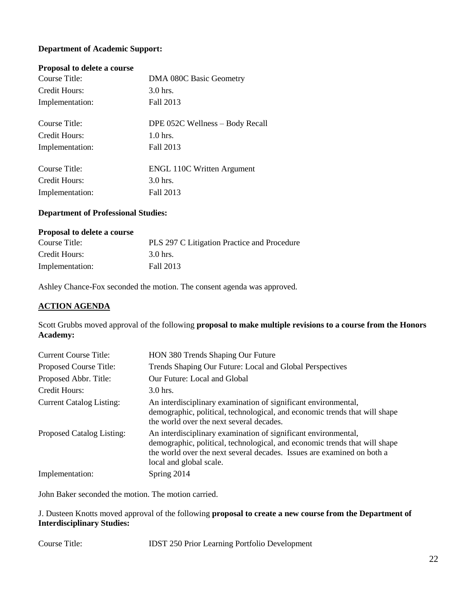## **Department of Academic Support:**

### **Proposal to delete a course**

| Course Title:   | DMA 080C Basic Geometry           |
|-----------------|-----------------------------------|
| Credit Hours:   | $3.0$ hrs.                        |
| Implementation: | Fall 2013                         |
| Course Title:   | DPE 052C Wellness – Body Recall   |
| Credit Hours:   | $1.0$ hrs.                        |
| Implementation: | Fall 2013                         |
| Course Title:   | <b>ENGL 110C Written Argument</b> |
| Credit Hours:   | 3.0 hrs.                          |
| Implementation: | Fall 2013                         |

## **Department of Professional Studies:**

#### **Proposal to delete a course**

| Course Title:   | PLS 297 C Litigation Practice and Procedure |
|-----------------|---------------------------------------------|
| Credit Hours:   | 3.0 hrs.                                    |
| Implementation: | Fall 2013                                   |

Ashley Chance-Fox seconded the motion. The consent agenda was approved.

### **ACTION AGENDA**

Scott Grubbs moved approval of the following **proposal to make multiple revisions to a course from the Honors Academy:**

| <b>Current Course Title:</b>     | HON 380 Trends Shaping Our Future                                                                                                                                                                                                                 |
|----------------------------------|---------------------------------------------------------------------------------------------------------------------------------------------------------------------------------------------------------------------------------------------------|
| Proposed Course Title:           | Trends Shaping Our Future: Local and Global Perspectives                                                                                                                                                                                          |
| Proposed Abbr. Title:            | Our Future: Local and Global                                                                                                                                                                                                                      |
| Credit Hours:                    | $3.0$ hrs.                                                                                                                                                                                                                                        |
| <b>Current Catalog Listing:</b>  | An interdisciplinary examination of significant environmental,<br>demographic, political, technological, and economic trends that will shape<br>the world over the next several decades.                                                          |
| <b>Proposed Catalog Listing:</b> | An interdisciplinary examination of significant environmental,<br>demographic, political, technological, and economic trends that will shape<br>the world over the next several decades. Issues are examined on both a<br>local and global scale. |
| Implementation:                  | Spring 2014                                                                                                                                                                                                                                       |

John Baker seconded the motion. The motion carried.

J. Dusteen Knotts moved approval of the following **proposal to create a new course from the Department of Interdisciplinary Studies:** 

Course Title: IDST 250 Prior Learning Portfolio Development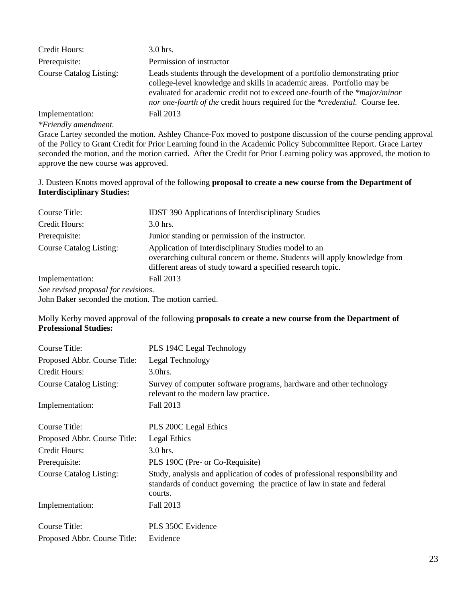| Credit Hours:                  | $3.0$ hrs.                                                                                                                                                                                                                                                                                                        |
|--------------------------------|-------------------------------------------------------------------------------------------------------------------------------------------------------------------------------------------------------------------------------------------------------------------------------------------------------------------|
| Prerequisite:                  | Permission of instructor                                                                                                                                                                                                                                                                                          |
| <b>Course Catalog Listing:</b> | Leads students through the development of a portfolio demonstrating prior<br>college-level knowledge and skills in academic areas. Portfolio may be<br>evaluated for academic credit not to exceed one-fourth of the *major/minor<br>nor one-fourth of the credit hours required for the *credential. Course fee. |
| Implementation:                | Fall 2013                                                                                                                                                                                                                                                                                                         |

*\*Friendly amendment.*

Grace Lartey seconded the motion. Ashley Chance-Fox moved to postpone discussion of the course pending approval of the Policy to Grant Credit for Prior Learning found in the Academic Policy Subcommittee Report. Grace Lartey seconded the motion, and the motion carried. After the Credit for Prior Learning policy was approved, the motion to approve the new course was approved.

### J. Dusteen Knotts moved approval of the following **proposal to create a new course from the Department of Interdisciplinary Studies:**

| Course Title:                       | <b>IDST 390 Applications of Interdisciplinary Studies</b>                                                                                                                                        |
|-------------------------------------|--------------------------------------------------------------------------------------------------------------------------------------------------------------------------------------------------|
| Credit Hours:                       | 3.0 hrs.                                                                                                                                                                                         |
| Prerequisite:                       | Junior standing or permission of the instructor.                                                                                                                                                 |
| <b>Course Catalog Listing:</b>      | Application of Interdisciplinary Studies model to an<br>overarching cultural concern or theme. Students will apply knowledge from<br>different areas of study toward a specified research topic. |
| Implementation:                     | Fall 2013                                                                                                                                                                                        |
| See revised proposal for revisions. |                                                                                                                                                                                                  |

John Baker seconded the motion. The motion carried.

Molly Kerby moved approval of the following **proposals to create a new course from the Department of Professional Studies:**

| Course Title:                  | PLS 194C Legal Technology                                                                                                                                         |
|--------------------------------|-------------------------------------------------------------------------------------------------------------------------------------------------------------------|
| Proposed Abbr. Course Title:   | Legal Technology                                                                                                                                                  |
| Credit Hours:                  | $3.0$ hrs.                                                                                                                                                        |
| <b>Course Catalog Listing:</b> | Survey of computer software programs, hardware and other technology<br>relevant to the modern law practice.                                                       |
| Implementation:                | Fall 2013                                                                                                                                                         |
| Course Title:                  | <b>PLS 200C Legal Ethics</b>                                                                                                                                      |
| Proposed Abbr. Course Title:   | Legal Ethics                                                                                                                                                      |
| Credit Hours:                  | 3.0 hrs.                                                                                                                                                          |
| Prerequisite:                  | PLS 190C (Pre- or Co-Requisite)                                                                                                                                   |
| <b>Course Catalog Listing:</b> | Study, analysis and application of codes of professional responsibility and<br>standards of conduct governing the practice of law in state and federal<br>courts. |
| Implementation:                | Fall 2013                                                                                                                                                         |
| Course Title:                  | PLS 350C Evidence                                                                                                                                                 |
| Proposed Abbr. Course Title:   | Evidence                                                                                                                                                          |